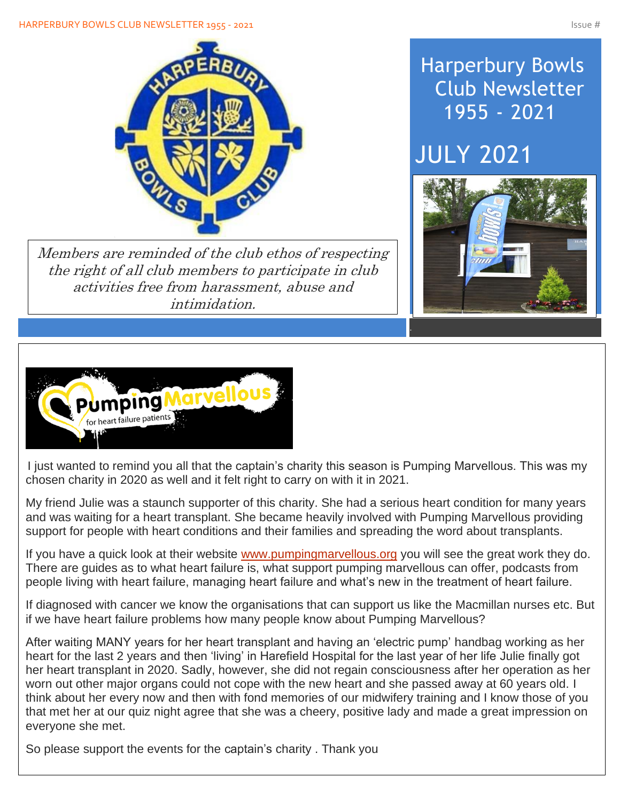

Members are reminded of the club ethos of respecting the right of all club members to participate in club activities free from harassment, abuse and intimidation.

## Harperbury Bowls Club Newsletter 1955 - 2021

# JULY 2021





I just wanted to remind you all that the captain's charity this season is Pumping Marvellous. This was my chosen charity in 2020 as well and it felt right to carry on with it in 2021.

My friend Julie was a staunch supporter of this charity. She had a serious heart condition for many years and was waiting for a heart transplant. She became heavily involved with Pumping Marvellous providing support for people with heart conditions and their families and spreading the word about transplants.

If you have a quick look at their website [www.pumpingmarvellous.org](http://www.pumpingmarvellous.org/) you will see the great work they do. There are guides as to what heart failure is, what support pumping marvellous can offer, podcasts from people living with heart failure, managing heart failure and what's new in the treatment of heart failure.

If diagnosed with cancer we know the organisations that can support us like the Macmillan nurses etc. But if we have heart failure problems how many people know about Pumping Marvellous?

After waiting MANY years for her heart transplant and having an 'electric pump' handbag working as her heart for the last 2 years and then 'living' in Harefield Hospital for the last year of her life Julie finally got her heart transplant in 2020. Sadly, however, she did not regain consciousness after her operation as her worn out other major organs could not cope with the new heart and she passed away at 60 years old. I think about her every now and then with fond memories of our midwifery training and I know those of you that met her at our quiz night agree that she was a cheery, positive lady and made a great impression on everyone she met.

So please support the events for the captain's charity . Thank you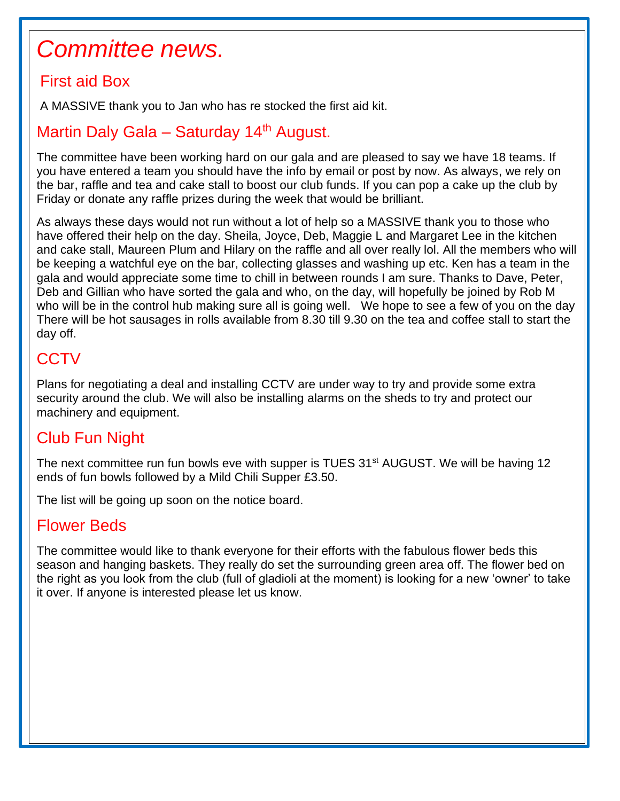## *Committee news.*

#### First aid Box

Í

 $\overline{\phantom{a}}$ 

I

I

I

I

I

I

I

I

A MASSIVE thank you to Jan who has re stocked the first aid kit.

#### Martin Daly Gala - Saturday 14<sup>th</sup> August.

The committee have been working hard on our gala and are pleased to say we have 18 teams. If you have entered a team you should have the info by email or post by now. As always, we rely on the bar, raffle and tea and cake stall to boost our club funds. If you can pop a cake up the club by Friday or donate any raffle prizes during the week that would be brilliant.

As always these days would not run without a lot of help so a MASSIVE thank you to those who have offered their help on the day. Sheila, Joyce, Deb, Maggie L and Margaret Lee in the kitchen and cake stall, Maureen Plum and Hilary on the raffle and all over really lol. All the members who will be keeping a watchful eye on the bar, collecting glasses and washing up etc. Ken has a team in the gala and would appreciate some time to chill in between rounds I am sure. Thanks to Dave, Peter, Deb and Gillian who have sorted the gala and who, on the day, will hopefully be joined by Rob M who will be in the control hub making sure all is going well. We hope to see a few of you on the day There will be hot sausages in rolls available from 8.30 till 9.30 on the tea and coffee stall to start the day off.

### **CCTV**

Plans for negotiating a deal and installing CCTV are under way to try and provide some extra security around the club. We will also be installing alarms on the sheds to try and protect our machinery and equipment.

### Club Fun Night

The next committee run fun bowls eve with supper is TUES 31<sup>st</sup> AUGUST. We will be having 12 ends of fun bowls followed by a Mild Chili Supper £3.50.

The list will be going up soon on the notice board.

#### Flower Beds

The committee would like to thank everyone for their efforts with the fabulous flower beds this season and hanging baskets. They really do set the surrounding green area off. The flower bed on the right as you look from the club (full of gladioli at the moment) is looking for a new 'owner' to take it over. If anyone is interested please let us know.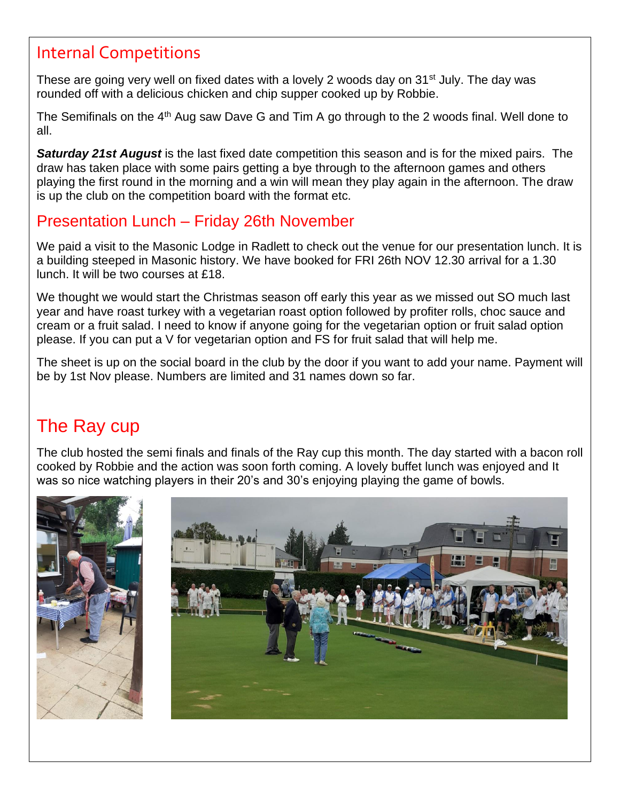### Internal Competitions

These are going very well on fixed dates with a lovely 2 woods day on 31<sup>st</sup> July. The day was rounded off with a delicious chicken and chip supper cooked up by Robbie.

The Semifinals on the 4<sup>th</sup> Aug saw Dave G and Tim A go through to the 2 woods final. Well done to all.

*Saturday 21st August* is the last fixed date competition this season and is for the mixed pairs. The draw has taken place with some pairs getting a bye through to the afternoon games and others playing the first round in the morning and a win will mean they play again in the afternoon. The draw is up the club on the competition board with the format etc.

### Presentation Lunch – Friday 26th November

We paid a visit to the Masonic Lodge in Radlett to check out the venue for our presentation lunch. It is a building steeped in Masonic history. We have booked for FRI 26th NOV 12.30 arrival for a 1.30 lunch. It will be two courses at £18.

We thought we would start the Christmas season off early this year as we missed out SO much last year and have roast turkey with a vegetarian roast option followed by profiter rolls, choc sauce and cream or a fruit salad. I need to know if anyone going for the vegetarian option or fruit salad option please. If you can put a V for vegetarian option and FS for fruit salad that will help me.

The sheet is up on the social board in the club by the door if you want to add your name. Payment will be by 1st Nov please. Numbers are limited and 31 names down so far.

## The Ray cup

The club hosted the semi finals and finals of the Ray cup this month. The day started with a bacon roll cooked by Robbie and the action was soon forth coming. A lovely buffet lunch was enjoyed and It was so nice watching players in their 20's and 30's enjoying playing the game of bowls.



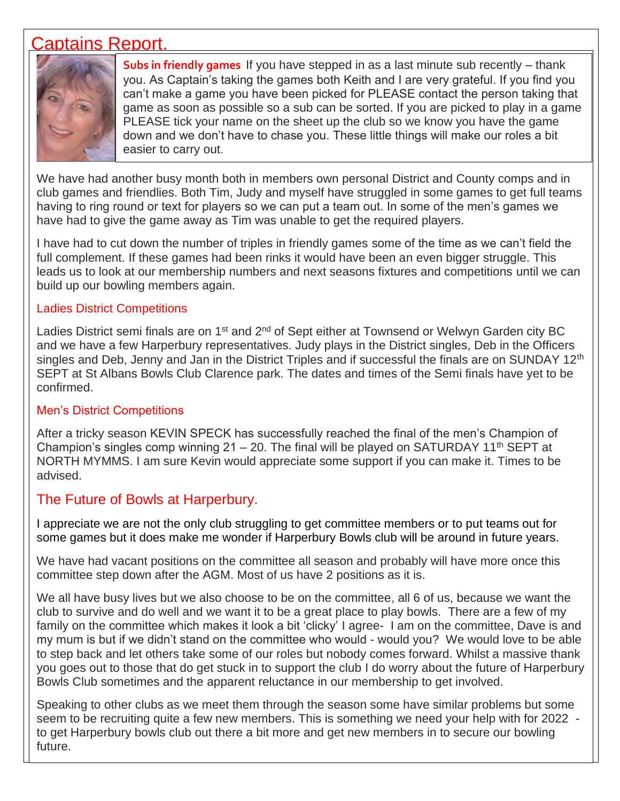#### Captains Report.



**Subs in friendly games** If you have stepped in as a last minute sub recently – thank you. As Captain's taking the games both Keith and I are very grateful. If you find you can't make a game you have been picked for PLEASE contact the person taking that game as soon as possible so a sub can be sorted. If you are picked to play in a game PLEASE tick your name on the sheet up the club so we know you have the game down and we don't have to chase you. These little things will make our roles a bit easier to carry out.

We have had another busy month both in members own personal District and County comps and in club games and friendlies. Both Tim, Judy and myself have struggled in some games to get full teams having to ring round or text for players so we can put a team out. In some of the men's games we have had to give the game away as Tim was unable to get the required players.

I have had to cut down the number of triples in friendly games some of the time as we can't field the full complement. If these games had been rinks it would have been an even bigger struggle. This leads us to look at our membership numbers and next seasons fixtures and competitions until we can build up our bowling members again.

#### Ladies District Competitions

Ladies District semi finals are on 1<sup>st</sup> and 2<sup>nd</sup> of Sept either at Townsend or Welwyn Garden city BC and we have a few Harperbury representatives. Judy plays in the District singles, Deb in the Officers singles and Deb, Jenny and Jan in the District Triples and if successful the finals are on SUNDAY 12<sup>th</sup> SEPT at St Albans Bowls Club Clarence park. The dates and times of the Semi finals have yet to be confirmed.

#### Men's District Competitions

After a tricky season KEVIN SPECK has successfully reached the final of the men's Champion of Champion's singles comp winning  $21 - 20$ . The final will be played on SATURDAY 11<sup>th</sup> SEPT at NORTH MYMMS. I am sure Kevin would appreciate some support if you can make it. Times to be advised.

#### The Future of Bowls at Harperbury.

I appreciate we are not the only club struggling to get committee members or to put teams out for some games but it does make me wonder if Harperbury Bowls club will be around in future years.

We have had vacant positions on the committee all season and probably will have more once this committee step down after the AGM. Most of us have 2 positions as it is.

We all have busy lives but we also choose to be on the committee, all 6 of us, because we want the club to survive and do well and we want it to be a great place to play bowls. There are a few of my family on the committee which makes it look a bit 'clicky' I agree- I am on the committee, Dave is and my mum is but if we didn't stand on the committee who would - would you? We would love to be able to step back and let others take some of our roles but nobody comes forward. Whilst a massive thank you goes out to those that do get stuck in to support the club I do worry about the future of Harperbury Bowls Club sometimes and the apparent reluctance in our membership to get involved.

Speaking to other clubs as we meet them through the season some have similar problems but some seem to be recruiting quite a few new members. This is something we need your help with for 2022 to get Harperbury bowls club out there a bit more and get new members in to secure our bowling future.